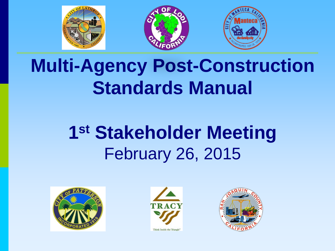

# **Multi-Agency Post-Construction Standards Manual**

# **1st Stakeholder Meeting** February 26, 2015





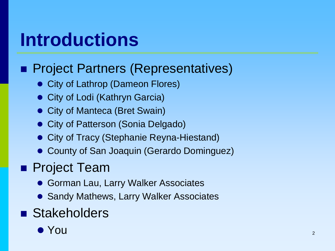## **Introductions**

### **Project Partners (Representatives)**

- City of Lathrop (Dameon Flores)
- City of Lodi (Kathryn Garcia)
- City of Manteca (Bret Swain)
- **City of Patterson (Sonia Delgado)**
- **City of Tracy (Stephanie Reyna-Hiestand)**
- County of San Joaquin (Gerardo Dominguez)

#### **Project Team**

- **Gorman Lau, Larry Walker Associates**
- Sandy Mathews, Larry Walker Associates

### **Stakeholders**

 $\bullet$  You  $\bullet$  2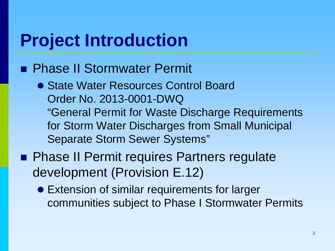### **Project Introduction**

#### **Phase II Stormwater Permit**

- State Water Resources Control Board Order No. 2013-0001-DWQ "General Permit for Waste Discharge Requirements for Storm Water Discharges from Small Municipal Separate Storm Sewer Systems"
- **Phase II Permit requires Partners regulate** development (Provision E.12)
	- Extension of similar requirements for larger communities subject to Phase I Stormwater Permits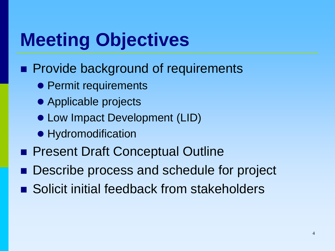## **Meeting Objectives**

- **Provide background of requirements** 
	- Permit requirements
	- Applicable projects
	- Low Impact Development (LID)
	- Hydromodification
- **Present Draft Conceptual Outline**
- Describe process and schedule for project
- Solicit initial feedback from stakeholders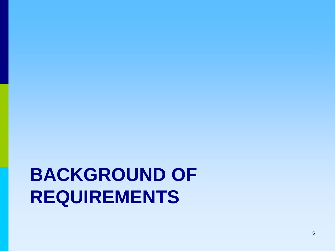# **BACKGROUND OF REQUIREMENTS**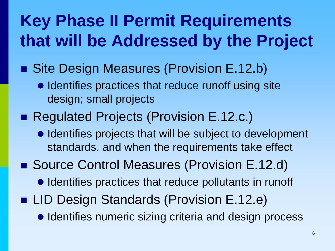## **Key Phase II Permit Requirements that will be Addressed by the Project**

- Site Design Measures (Provision E.12.b)
	- $\bullet$  Identifies practices that reduce runoff using site design; small projects
- Regulated Projects (Provision E.12.c.)
	- Identifies projects that will be subject to development standards, and when the requirements take effect
- Source Control Measures (Provision E.12.d)
	- Identifies practices that reduce pollutants in runoff
- LID Design Standards (Provision E.12.e)
	- $\bullet$  Identifies numeric sizing criteria and design process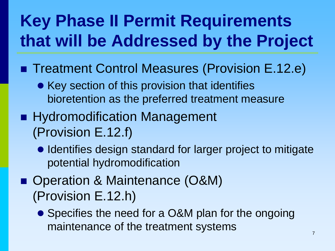## **Key Phase II Permit Requirements that will be Addressed by the Project**

- Treatment Control Measures (Provision E.12.e)
	- Key section of this provision that identifies bioretention as the preferred treatment measure
- **Hydromodification Management** (Provision E.12.f)
	- Identifies design standard for larger project to mitigate potential hydromodification
- Operation & Maintenance (O&M) (Provision E.12.h)
	- Specifies the need for a O&M plan for the ongoing maintenance of the treatment systems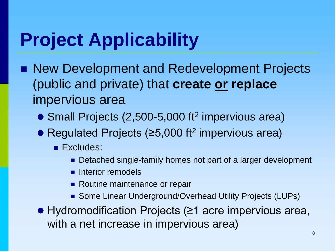# **Project Applicability**

- New Development and Redevelopment Projects (public and private) that **create or replace** impervious area
	- Small Projects (2,500-5,000 ft<sup>2</sup> impervious area)
	- Regulated Projects (≥5,000 ft<sup>2</sup> impervious area)
		- **Excludes:** 
			- Detached single-family homes not part of a larger development
			- $\blacksquare$  Interior remodels
			- Routine maintenance or repair
			- Some Linear Underground/Overhead Utility Projects (LUPs)
	- Hydromodification Projects (≥1 acre impervious area, with a net increase in impervious area)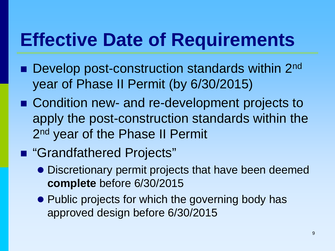## **Effective Date of Requirements**

- Develop post-construction standards within 2<sup>nd</sup> year of Phase II Permit (by 6/30/2015)
- Condition new- and re-development projects to apply the post-construction standards within the 2<sup>nd</sup> year of the Phase II Permit

### ■ "Grandfathered Projects"

- Discretionary permit projects that have been deemed **complete** before 6/30/2015
- Public projects for which the governing body has approved design before 6/30/2015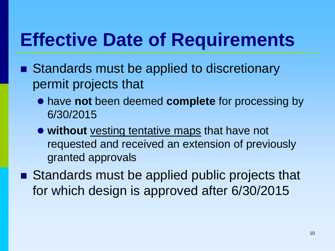# **Effective Date of Requirements**

- Standards must be applied to discretionary permit projects that
	- have **not** been deemed **complete** for processing by 6/30/2015
	- **without** vesting tentative maps that have not requested and received an extension of previously granted approvals
- Standards must be applied public projects that for which design is approved after 6/30/2015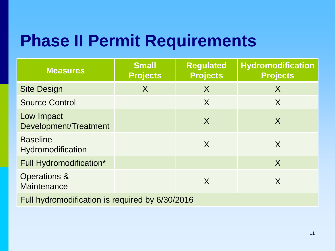### **Phase II Permit Requirements**

| <b>Measures</b>                                 | <b>Small</b><br><b>Projects</b> | <b>Regulated</b><br><b>Projects</b> | Hydromodification<br><b>Projects</b> |  |
|-------------------------------------------------|---------------------------------|-------------------------------------|--------------------------------------|--|
| <b>Site Design</b>                              | $\sf X$                         | X                                   | X                                    |  |
| <b>Source Control</b>                           |                                 | X                                   | X                                    |  |
| Low Impact<br>Development/Treatment             |                                 | X                                   | X                                    |  |
| <b>Baseline</b><br>Hydromodification            |                                 | X                                   | X                                    |  |
| Full Hydromodification*                         |                                 |                                     | $\sf X$                              |  |
| Operations &<br>Maintenance                     |                                 | X                                   | X                                    |  |
| Full hydromodification is required by 6/30/2016 |                                 |                                     |                                      |  |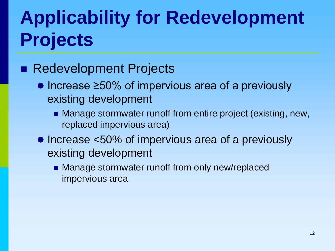# **Applicability for Redevelopment Projects**

#### ■ Redevelopment Projects

- $\bullet$  Increase  $\geq 50\%$  of impervious area of a previously existing development
	- Manage stormwater runoff from entire project (existing, new, replaced impervious area)
- Increase <50% of impervious area of a previously existing development
	- **Manage stormwater runoff from only new/replaced** impervious area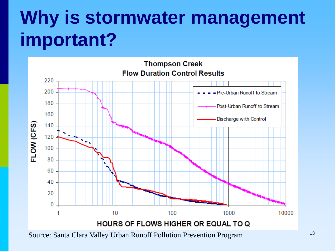# **Why is stormwater management important?**



<sup>13</sup> Source: Santa Clara Valley Urban Runoff Pollution Prevention Program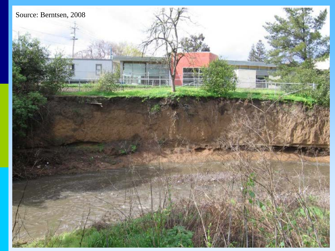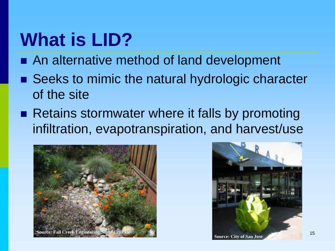# **What is LID?**

- An alternative method of land development
- Seeks to mimic the natural hydrologic character of the site
- Retains stormwater where it falls by promoting infiltration, evapotranspiration, and harvest/use



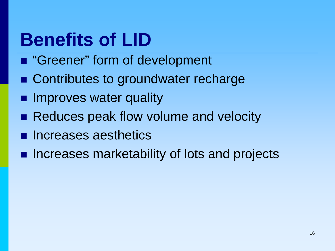# **Benefits of LID**

- "Greener" form of development
- Contributes to groundwater recharge
- **Improves water quality**
- Reduces peak flow volume and velocity
- **n** Increases aesthetics
- **Increases marketability of lots and projects**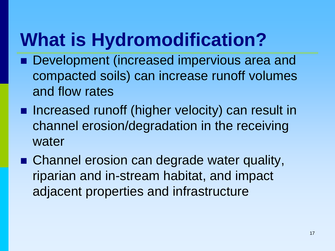# **What is Hydromodification?**

- Development (increased impervious area and compacted soils) can increase runoff volumes and flow rates
- **Increased runoff (higher velocity) can result in** channel erosion/degradation in the receiving water
- Channel erosion can degrade water quality, riparian and in-stream habitat, and impact adjacent properties and infrastructure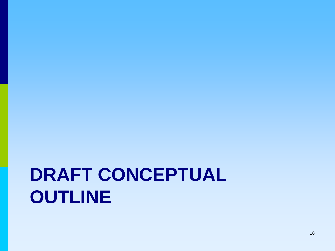# **DRAFT CONCEPTUAL OUTLINE**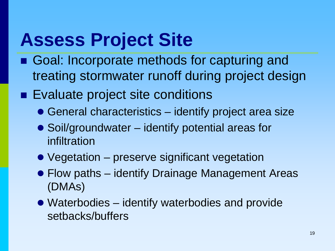## **Assess Project Site**

- Goal: Incorporate methods for capturing and treating stormwater runoff during project design
- Evaluate project site conditions
	- General characteristics identify project area size
	- Soil/groundwater identify potential areas for infiltration
	- Vegetation preserve significant vegetation
	- Flow paths identify Drainage Management Areas (DMAs)
	- Waterbodies identify waterbodies and provide setbacks/buffers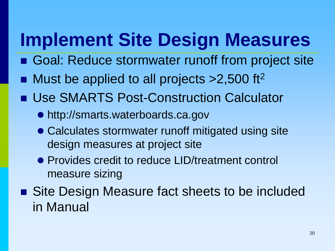# **Implement Site Design Measures**

- Goal: Reduce stormwater runoff from project site
- Must be applied to all projects > 2,500 ft<sup>2</sup>
- Use SMARTS Post-Construction Calculator
	- http://smarts.waterboards.ca.gov
	- Calculates stormwater runoff mitigated using site design measures at project site
	- Provides credit to reduce LID/treatment control measure sizing
- Site Design Measure fact sheets to be included in Manual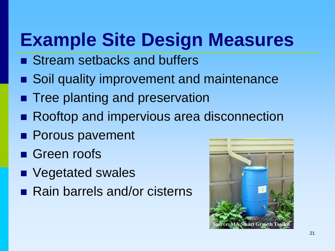# **Example Site Design Measures**

- Stream setbacks and buffers
- Soil quality improvement and maintenance
- **Tree planting and preservation**
- Rooftop and impervious area disconnection
- **Porous pavement**
- Green roofs
- Vegetated swales
- Rain barrels and/or cisterns

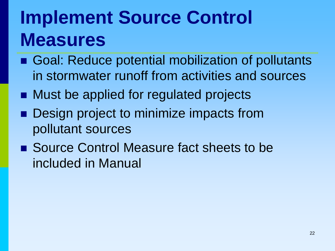# **Implement Source Control Measures**

- Goal: Reduce potential mobilization of pollutants in stormwater runoff from activities and sources
- Must be applied for regulated projects
- Design project to minimize impacts from pollutant sources
- Source Control Measure fact sheets to be included in Manual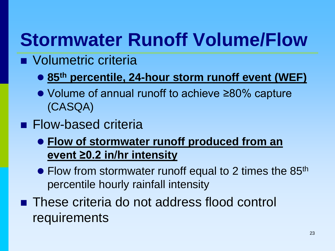# **Stormwater Runoff Volume/Flow**

- **Nolumetric criteria** 
	- **85th percentile, 24-hour storm runoff event (WEF)**
	- Volume of annual runoff to achieve ≥80% capture (CASQA)
- **Flow-based criteria** 
	- **Flow of stormwater runoff produced from an event ≥0.2 in/hr intensity**
	- Flow from stormwater runoff equal to 2 times the 85<sup>th</sup> percentile hourly rainfall intensity
- These criteria do not address flood control requirements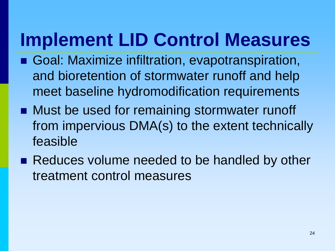# **Implement LID Control Measures**

- Goal: Maximize infiltration, evapotranspiration, and bioretention of stormwater runoff and help meet baseline hydromodification requirements
- Must be used for remaining stormwater runoff from impervious DMA(s) to the extent technically feasible
- Reduces volume needed to be handled by other treatment control measures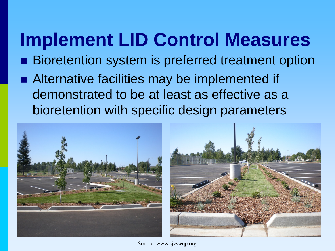# **Implement LID Control Measures**

- **Bioretention system is preferred treatment option**
- Alternative facilities may be implemented if demonstrated to be at least as effective as a bioretention with specific design parameters





Source: www.sjvswqp.org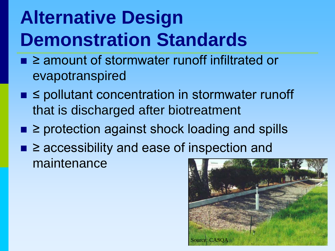# **Alternative Design Demonstration Standards**

- 2 amount of stormwater runoff infiltrated or evapotranspired
- ≤ pollutant concentration in stormwater runoff that is discharged after biotreatment
- ≥ protection against shock loading and spills
- ≥ accessibility and ease of inspection and maintenance

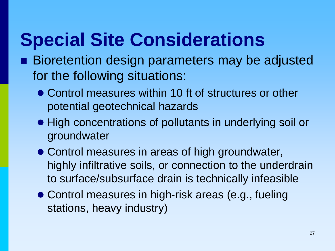# **Special Site Considerations**

- Bioretention design parameters may be adjusted for the following situations:
	- Control measures within 10 ft of structures or other potential geotechnical hazards
	- High concentrations of pollutants in underlying soil or groundwater
	- Control measures in areas of high groundwater, highly infiltrative soils, or connection to the underdrain to surface/subsurface drain is technically infeasible
	- Control measures in high-risk areas (e.g., fueling stations, heavy industry)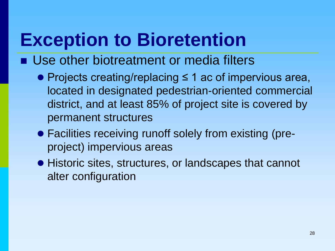# **Exception to Bioretention**

- Use other biotreatment or media filters
	- Projects creating/replacing ≤ 1 ac of impervious area, located in designated pedestrian-oriented commercial district, and at least 85% of project site is covered by permanent structures
	- Facilities receiving runoff solely from existing (preproject) impervious areas
	- Historic sites, structures, or landscapes that cannot alter configuration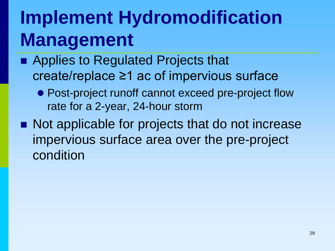# **Implement Hydromodification Management**

- Applies to Regulated Projects that create/replace ≥1 ac of impervious surface
	- Post-project runoff cannot exceed pre-project flow rate for a 2-year, 24-hour storm
- Not applicable for projects that do not increase impervious surface area over the pre-project condition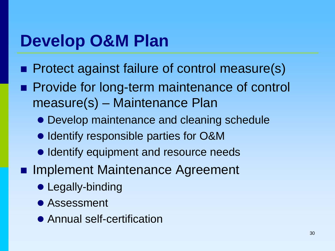### **Develop O&M Plan**

- **Protect against failure of control measure(s)**
- **Provide for long-term maintenance of control** measure(s) – Maintenance Plan
	- Develop maintenance and cleaning schedule
	- $\bullet$  Identify responsible parties for O&M
	- **Identify equipment and resource needs**
- **Implement Maintenance Agreement** 
	- Legally-binding
	- **Assessment**
	- Annual self-certification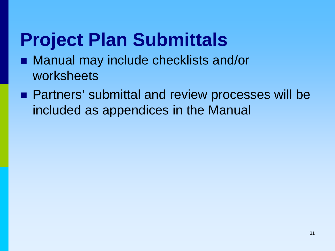# **Project Plan Submittals**

- Manual may include checklists and/or worksheets
- **Partners' submittal and review processes will be** included as appendices in the Manual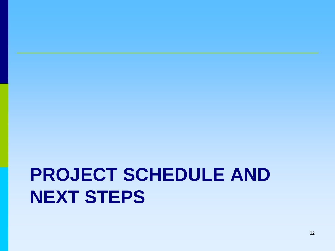# **PROJECT SCHEDULE AND NEXT STEPS**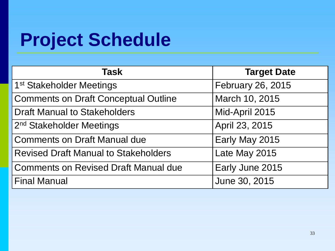# **Project Schedule**

| Task                                        | <b>Target Date</b> |
|---------------------------------------------|--------------------|
| 1 <sup>st</sup> Stakeholder Meetings        | February 26, 2015  |
| <b>Comments on Draft Conceptual Outline</b> | March 10, 2015     |
| <b>Draft Manual to Stakeholders</b>         | Mid-April 2015     |
| 2 <sup>nd</sup> Stakeholder Meetings        | April 23, 2015     |
| <b>Comments on Draft Manual due</b>         | Early May 2015     |
| <b>Revised Draft Manual to Stakeholders</b> | Late May 2015      |
| <b>Comments on Revised Draft Manual due</b> | Early June 2015    |
| <b>Final Manual</b>                         | June 30, 2015      |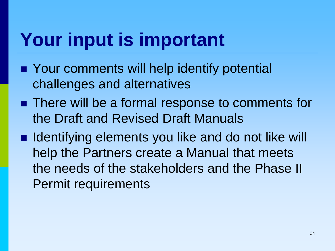# **Your input is important**

- **Nour comments will help identify potential** challenges and alternatives
- There will be a formal response to comments for the Draft and Revised Draft Manuals
- Identifying elements you like and do not like will help the Partners create a Manual that meets the needs of the stakeholders and the Phase II Permit requirements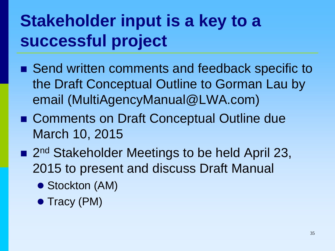### **Stakeholder input is a key to a successful project**

- Send written comments and feedback specific to the Draft Conceptual Outline to Gorman Lau by email (MultiAgencyManual@LWA.com)
- Comments on Draft Conceptual Outline due March 10, 2015
- 2<sup>nd</sup> Stakeholder Meetings to be held April 23, 2015 to present and discuss Draft Manual
	- Stockton (AM)
	- Tracy (PM)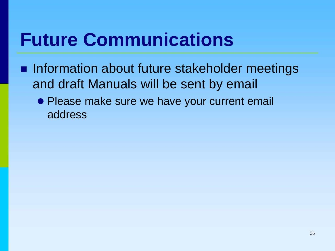# **Future Communications**

- **Information about future stakeholder meetings** and draft Manuals will be sent by email
	- Please make sure we have your current email address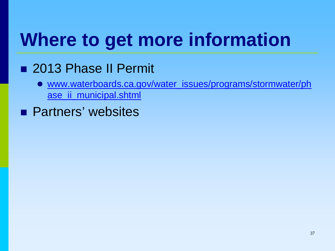# **Where to get more information**

### ■ 2013 Phase II Permit

- www.waterboards.ca.gov/water\_issues/programs/stormwater/ph ase\_ii\_municipal.shtml
- **Partners' websites**